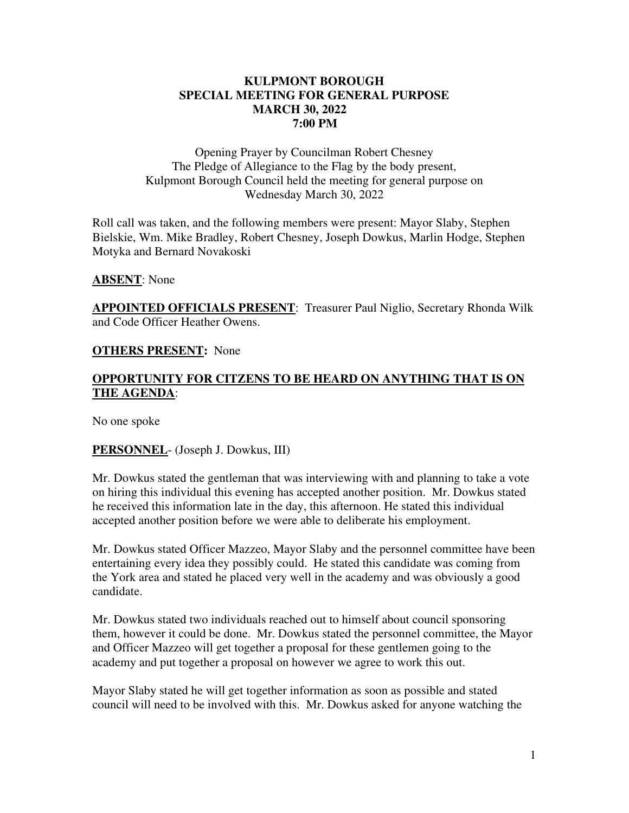### **KULPMONT BOROUGH SPECIAL MEETING FOR GENERAL PURPOSE MARCH 30, 2022 7:00 PM**

Opening Prayer by Councilman Robert Chesney The Pledge of Allegiance to the Flag by the body present, Kulpmont Borough Council held the meeting for general purpose on Wednesday March 30, 2022

Roll call was taken, and the following members were present: Mayor Slaby, Stephen Bielskie, Wm. Mike Bradley, Robert Chesney, Joseph Dowkus, Marlin Hodge, Stephen Motyka and Bernard Novakoski

#### **ABSENT**: None

**APPOINTED OFFICIALS PRESENT**: Treasurer Paul Niglio, Secretary Rhonda Wilk and Code Officer Heather Owens.

### **OTHERS PRESENT:** None

# **OPPORTUNITY FOR CITZENS TO BE HEARD ON ANYTHING THAT IS ON THE AGENDA**:

No one spoke

# **PERSONNEL**- (Joseph J. Dowkus, III)

Mr. Dowkus stated the gentleman that was interviewing with and planning to take a vote on hiring this individual this evening has accepted another position. Mr. Dowkus stated he received this information late in the day, this afternoon. He stated this individual accepted another position before we were able to deliberate his employment.

Mr. Dowkus stated Officer Mazzeo, Mayor Slaby and the personnel committee have been entertaining every idea they possibly could. He stated this candidate was coming from the York area and stated he placed very well in the academy and was obviously a good candidate.

Mr. Dowkus stated two individuals reached out to himself about council sponsoring them, however it could be done. Mr. Dowkus stated the personnel committee, the Mayor and Officer Mazzeo will get together a proposal for these gentlemen going to the academy and put together a proposal on however we agree to work this out.

Mayor Slaby stated he will get together information as soon as possible and stated council will need to be involved with this. Mr. Dowkus asked for anyone watching the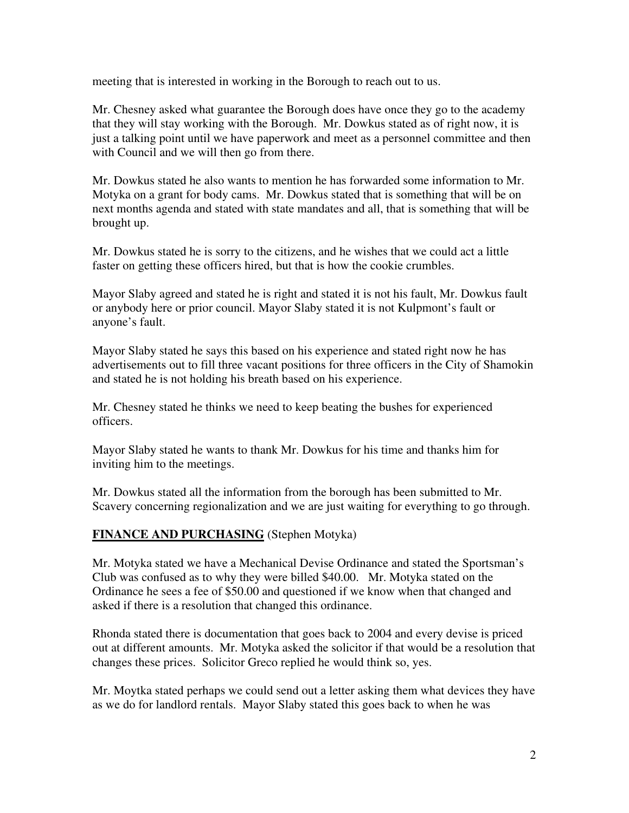meeting that is interested in working in the Borough to reach out to us.

Mr. Chesney asked what guarantee the Borough does have once they go to the academy that they will stay working with the Borough. Mr. Dowkus stated as of right now, it is just a talking point until we have paperwork and meet as a personnel committee and then with Council and we will then go from there.

Mr. Dowkus stated he also wants to mention he has forwarded some information to Mr. Motyka on a grant for body cams. Mr. Dowkus stated that is something that will be on next months agenda and stated with state mandates and all, that is something that will be brought up.

Mr. Dowkus stated he is sorry to the citizens, and he wishes that we could act a little faster on getting these officers hired, but that is how the cookie crumbles.

Mayor Slaby agreed and stated he is right and stated it is not his fault, Mr. Dowkus fault or anybody here or prior council. Mayor Slaby stated it is not Kulpmont's fault or anyone's fault.

Mayor Slaby stated he says this based on his experience and stated right now he has advertisements out to fill three vacant positions for three officers in the City of Shamokin and stated he is not holding his breath based on his experience.

Mr. Chesney stated he thinks we need to keep beating the bushes for experienced officers.

Mayor Slaby stated he wants to thank Mr. Dowkus for his time and thanks him for inviting him to the meetings.

Mr. Dowkus stated all the information from the borough has been submitted to Mr. Scavery concerning regionalization and we are just waiting for everything to go through.

# **FINANCE AND PURCHASING** (Stephen Motyka)

Mr. Motyka stated we have a Mechanical Devise Ordinance and stated the Sportsman's Club was confused as to why they were billed \$40.00. Mr. Motyka stated on the Ordinance he sees a fee of \$50.00 and questioned if we know when that changed and asked if there is a resolution that changed this ordinance.

Rhonda stated there is documentation that goes back to 2004 and every devise is priced out at different amounts. Mr. Motyka asked the solicitor if that would be a resolution that changes these prices. Solicitor Greco replied he would think so, yes.

Mr. Moytka stated perhaps we could send out a letter asking them what devices they have as we do for landlord rentals. Mayor Slaby stated this goes back to when he was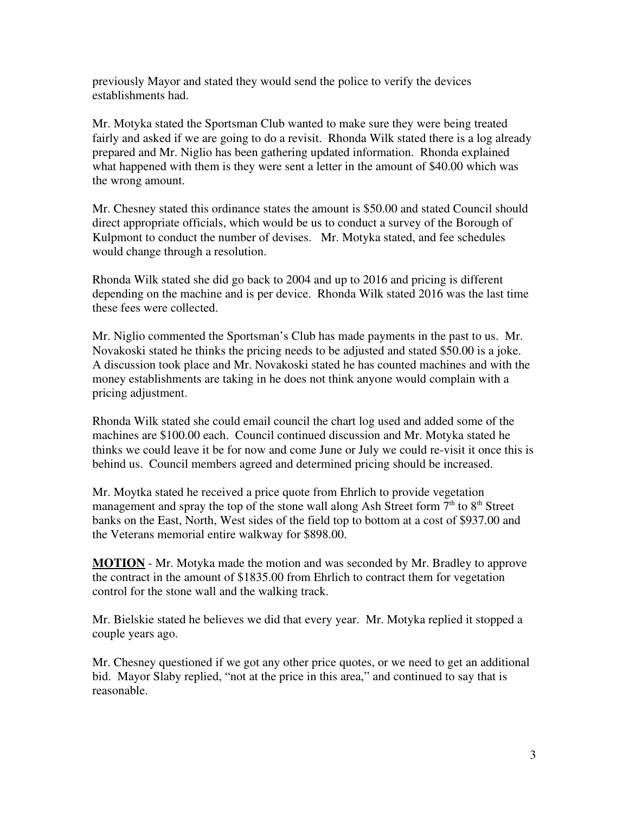previously Mayor and stated they would send the police to verify the devices establishments had.

Mr. Motyka stated the Sportsman Club wanted to make sure they were being treated fairly and asked if we are going to do a revisit. Rhonda Wilk stated there is a log already prepared and Mr. Niglio has been gathering updated information. Rhonda explained what happened with them is they were sent a letter in the amount of \$40.00 which was the wrong amount.

Mr. Chesney stated this ordinance states the amount is \$50.00 and stated Council should direct appropriate officials, which would be us to conduct a survey of the Borough of Kulpmont to conduct the number of devises. Mr. Motyka stated, and fee schedules would change through a resolution.

Rhonda Wilk stated she did go back to 2004 and up to 2016 and pricing is different depending on the machine and is per device. Rhonda Wilk stated 2016 was the last time these fees were collected.

Mr. Niglio commented the Sportsman's Club has made payments in the past to us. Mr. Novakoski stated he thinks the pricing needs to be adjusted and stated \$50.00 is a joke. A discussion took place and Mr. Novakoski stated he has counted machines and with the money establishments are taking in he does not think anyone would complain with a pricing adjustment.

Rhonda Wilk stated she could email council the chart log used and added some of the machines are \$100.00 each. Council continued discussion and Mr. Motyka stated he thinks we could leave it be for now and come June or July we could re-visit it once this is behind us. Council members agreed and determined pricing should be increased.

Mr. Moytka stated he received a price quote from Ehrlich to provide vegetation management and spray the top of the stone wall along Ash Street form  $7<sup>th</sup>$  to  $8<sup>th</sup>$  Street banks on the East, North, West sides of the field top to bottom at a cost of \$937.00 and the Veterans memorial entire walkway for \$898.00.

**MOTION** - Mr. Motyka made the motion and was seconded by Mr. Bradley to approve the contract in the amount of \$1835.00 from Ehrlich to contract them for vegetation control for the stone wall and the walking track.

Mr. Bielskie stated he believes we did that every year. Mr. Motyka replied it stopped a couple years ago.

Mr. Chesney questioned if we got any other price quotes, or we need to get an additional bid. Mayor Slaby replied, "not at the price in this area," and continued to say that is reasonable.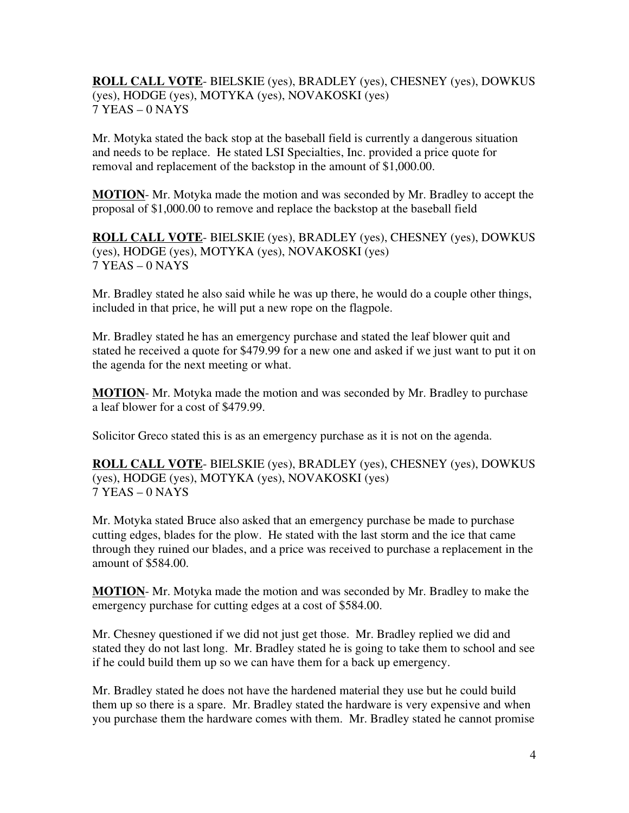**ROLL CALL VOTE**- BIELSKIE (yes), BRADLEY (yes), CHESNEY (yes), DOWKUS (yes), HODGE (yes), MOTYKA (yes), NOVAKOSKI (yes) 7 YEAS – 0 NAYS

Mr. Motyka stated the back stop at the baseball field is currently a dangerous situation and needs to be replace. He stated LSI Specialties, Inc. provided a price quote for removal and replacement of the backstop in the amount of \$1,000.00.

**MOTION**- Mr. Motyka made the motion and was seconded by Mr. Bradley to accept the proposal of \$1,000.00 to remove and replace the backstop at the baseball field

**ROLL CALL VOTE**- BIELSKIE (yes), BRADLEY (yes), CHESNEY (yes), DOWKUS (yes), HODGE (yes), MOTYKA (yes), NOVAKOSKI (yes) 7 YEAS – 0 NAYS

Mr. Bradley stated he also said while he was up there, he would do a couple other things, included in that price, he will put a new rope on the flagpole.

Mr. Bradley stated he has an emergency purchase and stated the leaf blower quit and stated he received a quote for \$479.99 for a new one and asked if we just want to put it on the agenda for the next meeting or what.

**MOTION**- Mr. Motyka made the motion and was seconded by Mr. Bradley to purchase a leaf blower for a cost of \$479.99.

Solicitor Greco stated this is as an emergency purchase as it is not on the agenda.

**ROLL CALL VOTE**- BIELSKIE (yes), BRADLEY (yes), CHESNEY (yes), DOWKUS (yes), HODGE (yes), MOTYKA (yes), NOVAKOSKI (yes) 7 YEAS – 0 NAYS

Mr. Motyka stated Bruce also asked that an emergency purchase be made to purchase cutting edges, blades for the plow. He stated with the last storm and the ice that came through they ruined our blades, and a price was received to purchase a replacement in the amount of \$584.00.

**MOTION**- Mr. Motyka made the motion and was seconded by Mr. Bradley to make the emergency purchase for cutting edges at a cost of \$584.00.

Mr. Chesney questioned if we did not just get those. Mr. Bradley replied we did and stated they do not last long. Mr. Bradley stated he is going to take them to school and see if he could build them up so we can have them for a back up emergency.

Mr. Bradley stated he does not have the hardened material they use but he could build them up so there is a spare. Mr. Bradley stated the hardware is very expensive and when you purchase them the hardware comes with them. Mr. Bradley stated he cannot promise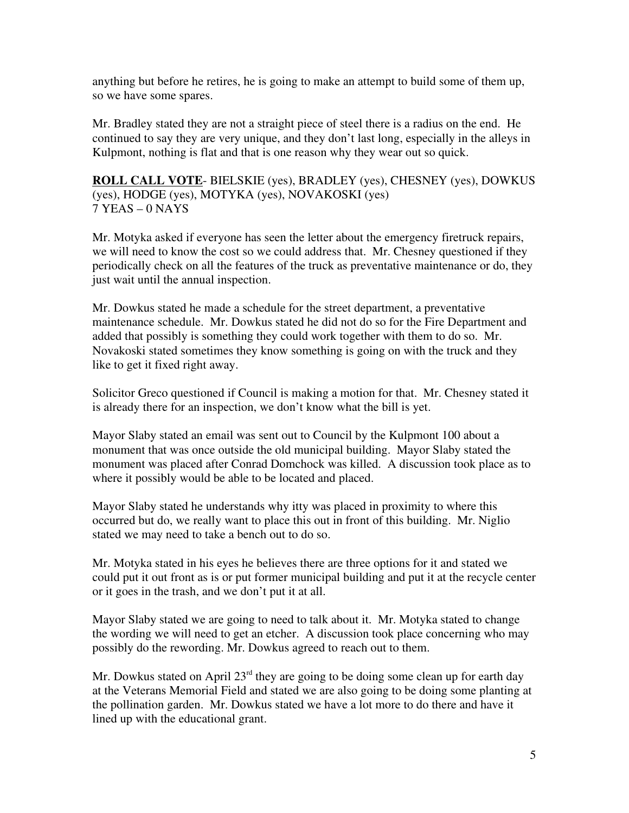anything but before he retires, he is going to make an attempt to build some of them up, so we have some spares.

Mr. Bradley stated they are not a straight piece of steel there is a radius on the end. He continued to say they are very unique, and they don't last long, especially in the alleys in Kulpmont, nothing is flat and that is one reason why they wear out so quick.

**ROLL CALL VOTE**- BIELSKIE (yes), BRADLEY (yes), CHESNEY (yes), DOWKUS (yes), HODGE (yes), MOTYKA (yes), NOVAKOSKI (yes) 7 YEAS – 0 NAYS

Mr. Motyka asked if everyone has seen the letter about the emergency firetruck repairs, we will need to know the cost so we could address that. Mr. Chesney questioned if they periodically check on all the features of the truck as preventative maintenance or do, they just wait until the annual inspection.

Mr. Dowkus stated he made a schedule for the street department, a preventative maintenance schedule. Mr. Dowkus stated he did not do so for the Fire Department and added that possibly is something they could work together with them to do so. Mr. Novakoski stated sometimes they know something is going on with the truck and they like to get it fixed right away.

Solicitor Greco questioned if Council is making a motion for that. Mr. Chesney stated it is already there for an inspection, we don't know what the bill is yet.

Mayor Slaby stated an email was sent out to Council by the Kulpmont 100 about a monument that was once outside the old municipal building. Mayor Slaby stated the monument was placed after Conrad Domchock was killed. A discussion took place as to where it possibly would be able to be located and placed.

Mayor Slaby stated he understands why itty was placed in proximity to where this occurred but do, we really want to place this out in front of this building. Mr. Niglio stated we may need to take a bench out to do so.

Mr. Motyka stated in his eyes he believes there are three options for it and stated we could put it out front as is or put former municipal building and put it at the recycle center or it goes in the trash, and we don't put it at all.

Mayor Slaby stated we are going to need to talk about it. Mr. Motyka stated to change the wording we will need to get an etcher. A discussion took place concerning who may possibly do the rewording. Mr. Dowkus agreed to reach out to them.

Mr. Dowkus stated on April  $23<sup>rd</sup>$  they are going to be doing some clean up for earth day at the Veterans Memorial Field and stated we are also going to be doing some planting at the pollination garden. Mr. Dowkus stated we have a lot more to do there and have it lined up with the educational grant.